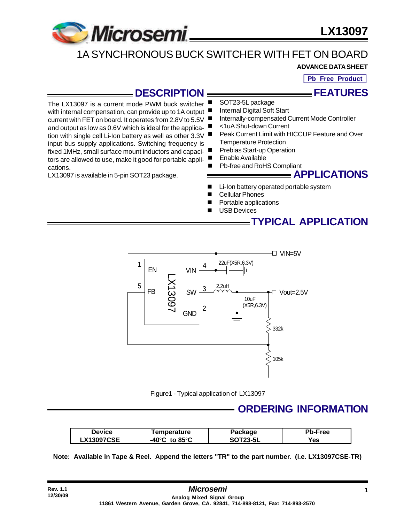

The LX13097 is a current mode PWM buck switcher

current with FET on board. It operates from 2.8V to 5.5V and output as low as 0.6V which is ideal for the application with single cell Li-Ion battery as well as other 3.3V input bus supply applications. Switching frequency is fixed 1MHz, small surface mount inductors and capacitors are allowed to use, make it good for portable appli**LX13097**

# 1A SYNCHRONOUS BUCK SWITCHER WITH FET ON BOARD

### **ADVANCE DATA SHEET**

**Pb Free Product**

**FEATURES**

### **DESCRIPTION**

SOT23-5L package

- with internal compensation, can provide up to 1A output Internal Digital Soft Start
	- Internally-compensated Current Mode Controller
	- <1uA Shut-down Current
	- Peak Current Limit with HICCUP Feature and Over Temperature Protection
		- Prebias Start-up Operation
	- Enable Available
	- Pb-free and RoHS Compliant

LX13097 is available in 5-pin SOT23 package.

cations.

**Rev. 1.1 12/30/09**

- **APPLICATIONS**
- Li-Ion battery operated portable system
- **Cellular Phones**
- Portable applications
- **USB Devices**

# **TYPICAL APPLICATION**



Figure1 - Typical application of LX13097

### **ORDERING INFORMATION**

| Device            | <b>Femperature</b>                 | Package         | Pb-Free |
|-------------------|------------------------------------|-----------------|---------|
| <b>LX13097CSE</b> | $-40^{\circ}$ C to 85 $^{\circ}$ C | <b>SOT23-5L</b> | res     |

 **Note: Available in Tape & Reel. Append the letters "TR" to the part number. (i.e. LX13097CSE-TR)**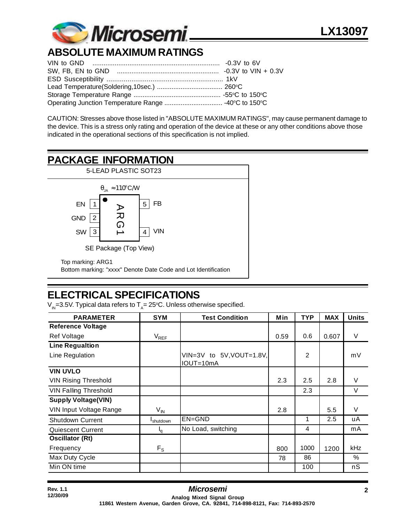

# **ABSOLUTE MAXIMUM RATINGS**

CAUTION: Stresses above those listed in "ABSOLUTE MAXIMUM RATINGS", may cause permanent damage to the device. This is a stress only rating and operation of the device at these or any other conditions above those indicated in the operational sections of this specification is not implied.

# **PACKAGE INFORMATION**



# **ELECTRICAL SPECIFICATIONS**

 $\rm V_{\rm in}$ =3.5V. Typical data refers to T $_{\rm A}$ = 25°C. Unless otherwise specified.

| <b>PARAMETER</b>             | <b>SYM</b>            | <b>Test Condition</b>                 | Min  | <b>TYP</b> | <b>MAX</b> | <b>Units</b> |
|------------------------------|-----------------------|---------------------------------------|------|------------|------------|--------------|
| <b>Reference Voltage</b>     |                       |                                       |      |            |            |              |
| <b>Ref Voltage</b>           | $V_{REF}$             |                                       | 0.59 | 0.6        | 0.607      | V            |
| <b>Line Regualtion</b>       |                       |                                       |      |            |            |              |
| Line Regulation              |                       | VIN=3V to 5V, VOUT=1.8V,<br>IOUT=10mA |      | 2          |            | mV           |
| <b>VIN UVLO</b>              |                       |                                       |      |            |            |              |
| <b>VIN Rising Threshold</b>  |                       |                                       | 2.3  | 2.5        | 2.8        | V            |
| <b>VIN Falling Threshold</b> |                       |                                       |      | 2.3        |            | V            |
| <b>Supply Voltage(VIN)</b>   |                       |                                       |      |            |            |              |
| VIN Input Voltage Range      | $V_{\mathsf{IN}}$     |                                       | 2.8  |            | 5.5        | V            |
| <b>Shutdown Current</b>      | I <sub>shutdown</sub> | EN=GND                                |      | 1          | 2.5        | uA           |
| <b>Quiescent Current</b>     | $I_q$                 | No Load, switching                    |      | 4          |            | mA           |
| <b>Oscillator (Rt)</b>       |                       |                                       |      |            |            |              |
| Frequency                    | $F_S$                 |                                       | 800  | 1000       | 1200       | kHz          |
| Max Duty Cycle               |                       |                                       | 78   | 86         |            | $\%$         |
| Min ON time                  |                       |                                       |      | 100        |            | nS           |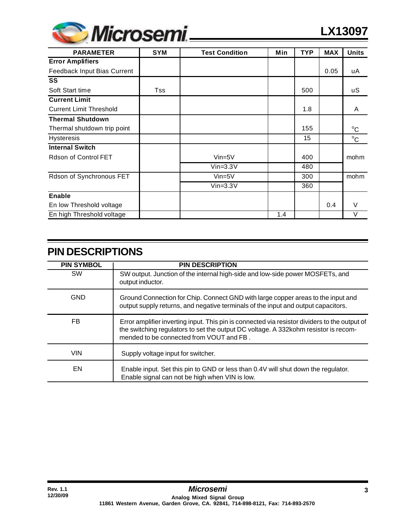

| <b>PARAMETER</b>               | <b>SYM</b> | <b>Test Condition</b> | Min | <b>TYP</b> | <b>MAX</b> | <b>Units</b> |
|--------------------------------|------------|-----------------------|-----|------------|------------|--------------|
| <b>Error Amplifiers</b>        |            |                       |     |            |            |              |
| Feedback Input Bias Current    |            |                       |     |            | 0.05       | uA           |
| SS                             |            |                       |     |            |            |              |
| Soft Start time                | Tss        |                       |     | 500        |            | uS           |
| <b>Current Limit</b>           |            |                       |     |            |            |              |
| <b>Current Limit Threshold</b> |            |                       |     | 1.8        |            | A            |
| <b>Thermal Shutdown</b>        |            |                       |     |            |            |              |
| Thermal shutdown trip point    |            |                       |     | 155        |            | $^{\circ}$ C |
| <b>Hysteresis</b>              |            |                       |     | 15         |            | $^{\circ}C$  |
| <b>Internal Switch</b>         |            |                       |     |            |            |              |
| Rdson of Control FET           |            | $Vin=5V$              |     | 400        |            | mohm         |
|                                |            | $Vin=3.3V$            |     | 480        |            |              |
| Rdson of Synchronous FET       |            | $Vin=5V$              |     | 300        |            | mohm         |
|                                |            | $Vin=3.3V$            |     | 360        |            |              |
| <b>Enable</b>                  |            |                       |     |            |            |              |
| En low Threshold voltage       |            |                       |     |            | 0.4        | $\vee$       |
| En high Threshold voltage      |            |                       | 1.4 |            |            | V            |

| <b>PIN SYMBOL</b> | <b>PIN DESCRIPTION</b>                                                                                                                                                                                                           |
|-------------------|----------------------------------------------------------------------------------------------------------------------------------------------------------------------------------------------------------------------------------|
| <b>SW</b>         | SW output. Junction of the internal high-side and low-side power MOSFETs, and<br>output inductor.                                                                                                                                |
| <b>GND</b>        | Ground Connection for Chip. Connect GND with large copper areas to the input and<br>output supply returns, and negative terminals of the input and output capacitors.                                                            |
| FB.               | Error amplifier inverting input. This pin is connected via resistor dividers to the output of<br>the switching regulators to set the output DC voltage. A 332kohm resistor is recom-<br>mended to be connected from VOUT and FB. |
| <b>VIN</b>        | Supply voltage input for switcher.                                                                                                                                                                                               |
| EN                | Enable input. Set this pin to GND or less than 0.4V will shut down the regulator.<br>Enable signal can not be high when VIN is low.                                                                                              |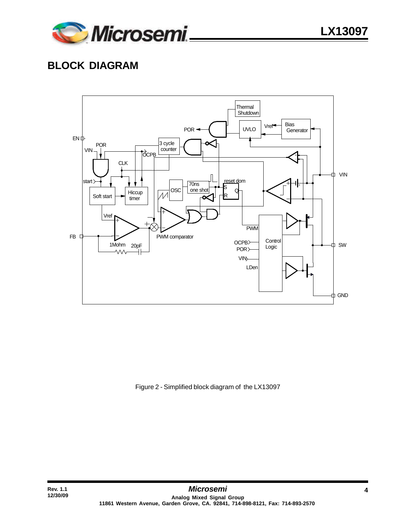

## **BLOCK DIAGRAM**



Figure 2 - Simplified block diagram of the LX13097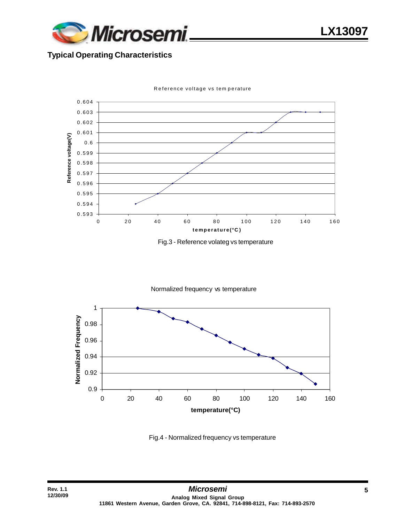

**LX13097**

#### **Typical Operating Characteristics**



Reference voltage vs tem perature





Fig.4 - Normalized frequency vs temperature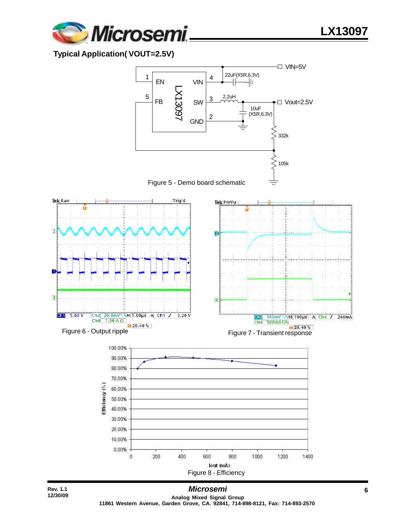

### **Typical Application( VOUT=2.5V)**



**LX13097**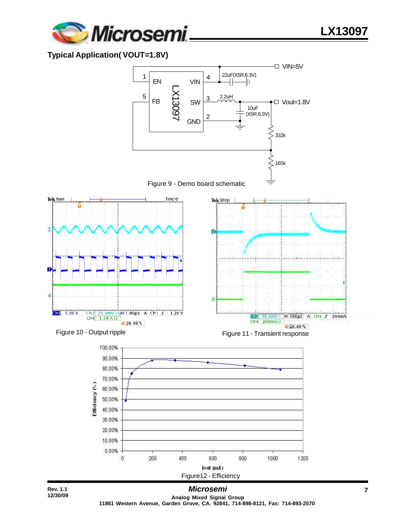

### **Typical Application( VOUT=1.8V)**



**Analog Mixed Signal Group 11861 Western Avenue, Garden Grove, CA. 92841, 714-898-8121, Fax: 714-893-2570** **LX13097**

VIN=5V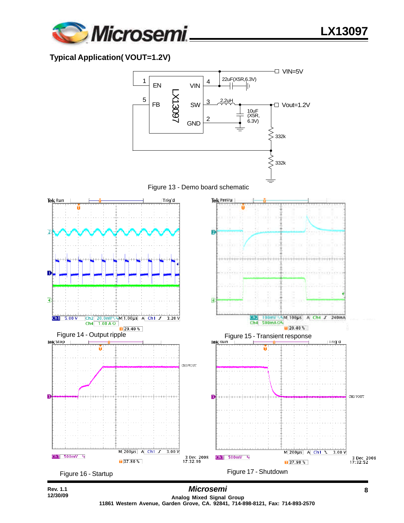

### **Typical Application( VOUT=1.2V)**



**LX13097**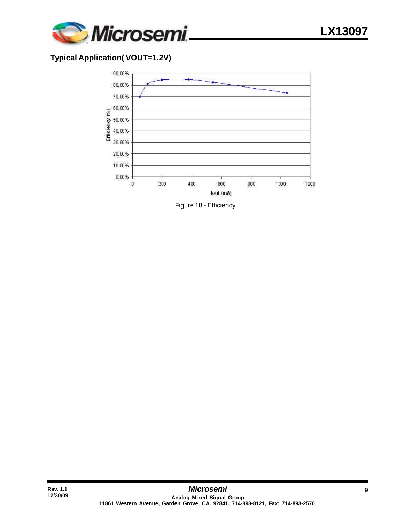

#### **Typical Application( VOUT=1.2V)**

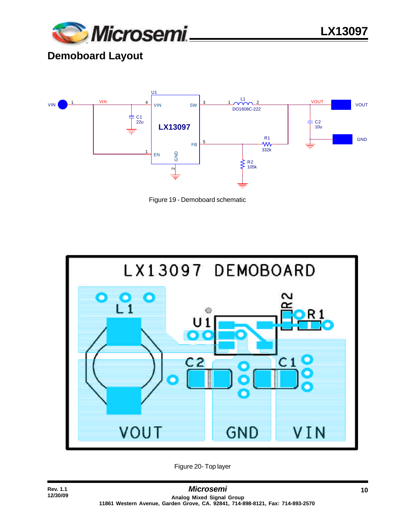

**LX13097**

# **Demoboard Layout**

**Rev. 1.1 12/30/09**



Figure 19 - Demoboard schematic



Figure 20- Top layer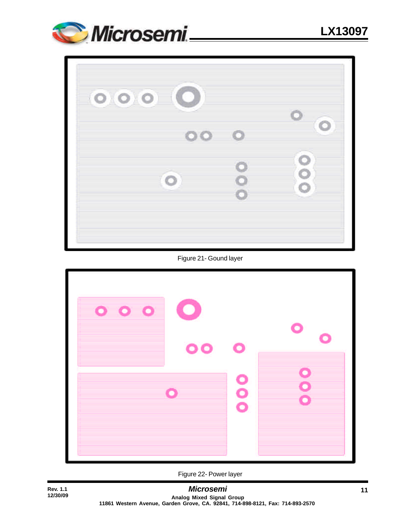

| 000     |     |                |
|---------|-----|----------------|
|         | 000 |                |
| $\circ$ |     | $\bullet$<br>Ó |
|         |     |                |

Figure 21- Gound layer



Figure 22- Power layer

**Rev. 1.1 12/30/09**